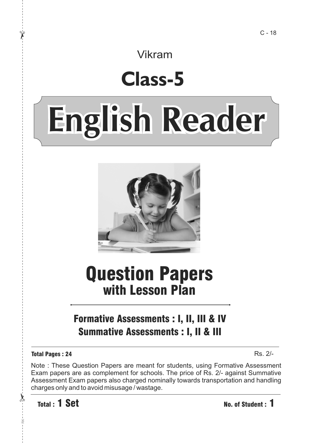Vikram

## **Class-5**

# **English Reader**



## Question Papers with Lesson Plan

## Formative Assessments : I, II, III & IV Summative Assessments : I, II & III

#### Total Pages : 24

Rs. 2/-

Note : These Question Papers are meant for students, using Formative Assessment Exam papers are as complement for schools. The price of Rs. 2/- against Summative Assessment Exam papers also charged nominally towards transportation and handling charges only and to avoid misusage / wastage.

Total : 1 Set No. of Student : 1

 $\lambda$ <sup>-</sup>

RK

 $\chi$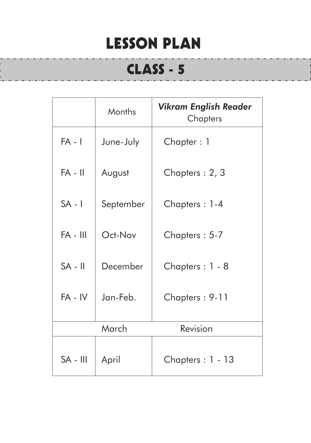## LESSON PLAN

## CLASS - 5

|            | Months    | <b>Vikram English Reader</b><br>Chapters |
|------------|-----------|------------------------------------------|
| $FA - I$   | June-July | Chapter: 1                               |
| $FA - II$  | August    | Chapters: 2, 3                           |
| $SA - I$   | September | Chapters: 1-4                            |
| $FA - III$ | Oct-Nov   | Chapters: 5-7                            |
| $SA - II$  | December  | Chapters: 1 - 8                          |
| $FA - IV$  | Jan-Feb.  | Chapters: 9-11                           |
|            | March     | Revision                                 |
| $SA - III$ | April     | Chapters : 1 - 13                        |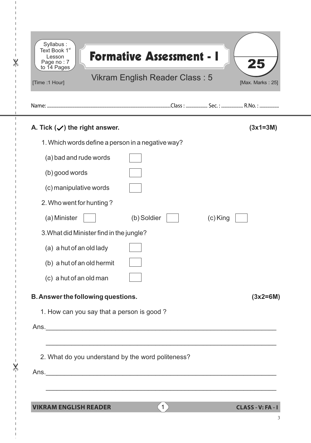| [Time :1 Hour] |                                           | Vikram English Reader Class: 5                                                                                        |            | [Max. Marks: 25] |
|----------------|-------------------------------------------|-----------------------------------------------------------------------------------------------------------------------|------------|------------------|
|                | A. Tick $(\checkmark)$ the right answer.  |                                                                                                                       |            | $(3x1=3M)$       |
|                |                                           | 1. Which words define a person in a negative way?                                                                     |            |                  |
|                | (a) bad and rude words                    |                                                                                                                       |            |                  |
| (b) good words |                                           |                                                                                                                       |            |                  |
|                | (c) manipulative words                    |                                                                                                                       |            |                  |
|                | 2. Who went for hunting?                  |                                                                                                                       |            |                  |
| (a) Minister   |                                           | (b) Soldier                                                                                                           | $(c)$ King |                  |
|                | 3. What did Minister find in the jungle?  |                                                                                                                       |            |                  |
|                | (a) a hut of an old lady                  |                                                                                                                       |            |                  |
|                | (b) a hut of an old hermit                |                                                                                                                       |            |                  |
|                | (c) a hut of an old man                   |                                                                                                                       |            |                  |
|                | B. Answer the following questions.        |                                                                                                                       |            | $(3x2=6M)$       |
|                | 1. How can you say that a person is good? |                                                                                                                       |            |                  |
|                |                                           |                                                                                                                       |            |                  |
|                |                                           | <u> 1989 - Johann Harry Harry Harry Harry Harry Harry Harry Harry Harry Harry Harry Harry Harry Harry Harry Harry</u> |            |                  |
|                |                                           | 2. What do you understand by the word politeness?                                                                     |            |                  |

 $\overline{1}$  $\mathbf{I}$ 

 $\mathsf I$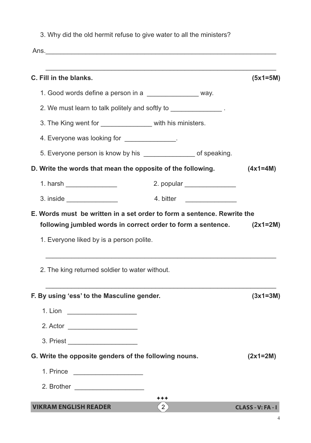3. Why did the old hermit refuse to give water to all the ministers?

Ans.\_\_\_\_\_\_\_\_\_\_\_\_\_\_\_\_\_\_\_\_\_\_\_\_\_\_\_\_\_\_\_\_\_\_\_\_\_\_\_\_\_\_\_\_\_\_\_\_\_\_\_\_\_\_\_\_\_\_\_\_\_\_\_

| C. Fill in the blanks.                                                                                                                  |                              | $(5x1=5M)$ |
|-----------------------------------------------------------------------------------------------------------------------------------------|------------------------------|------------|
| 1. Good words define a person in a ________________ way.                                                                                |                              |            |
| 2. We must learn to talk politely and softly to _______________.                                                                        |                              |            |
| 3. The King went for _________________ with his ministers.                                                                              |                              |            |
| 4. Everyone was looking for ______________.                                                                                             |                              |            |
| 5. Everyone person is know by his __________________ of speaking.                                                                       |                              |            |
| D. Write the words that mean the opposite of the following.                                                                             |                              | $(4x1=4M)$ |
| 1. harsh ________________                                                                                                               | 2. popular _________________ |            |
|                                                                                                                                         | 4. bitter _______________    |            |
| E. Words must be written in a set order to form a sentence. Rewrite the<br>following jumbled words in correct order to form a sentence. |                              |            |
| 1. Everyone liked by is a person polite.<br>2. The king returned soldier to water without.                                              |                              | $(2x1=2M)$ |
| F. By using 'ess' to the Masculine gender.                                                                                              |                              | $(3x1=3M)$ |
| 1. Lion _______________________                                                                                                         |                              |            |
| 2. Actor                                                                                                                                |                              |            |
|                                                                                                                                         |                              |            |
| G. Write the opposite genders of the following nouns.                                                                                   |                              | $(2x1=2M)$ |
| 1. Prince ______________________                                                                                                        |                              |            |
|                                                                                                                                         |                              |            |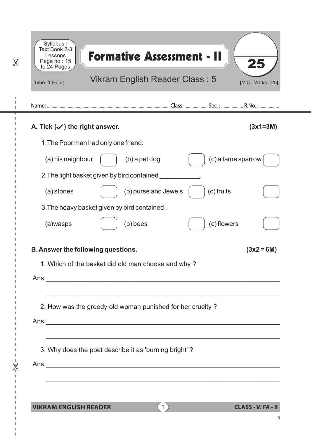| [Time :1 Hour]                           | Vikram English Reader Class: 5                                                                                   | [Max. Marks: 25]   |
|------------------------------------------|------------------------------------------------------------------------------------------------------------------|--------------------|
|                                          |                                                                                                                  |                    |
| A. Tick $(\checkmark)$ the right answer. |                                                                                                                  | $(3x1=3M)$         |
|                                          | 1. The Poor man had only one friend.                                                                             |                    |
| (a) his neighbour                        | $(b)$ a pet dog                                                                                                  | (c) a tame sparrow |
|                                          | 2. The light basket given by bird contained                                                                      |                    |
| (a) stones                               | (b) purse and Jewels                                                                                             | (c) fruits         |
|                                          | 3. The heavy basket given by bird contained.                                                                     |                    |
| (a)wasps                                 | (b) bees                                                                                                         | (c) flowers        |
|                                          |                                                                                                                  |                    |
|                                          | B. Answer the following questions.<br>1. Which of the basket did old man choose and why?                         | $(3x2 = 6M)$       |
|                                          |                                                                                                                  |                    |
|                                          | and the control of the control of the control of the control of the control of the control of the control of the |                    |
|                                          | 2. How was the greedy old woman punished for her cruelty ?                                                       |                    |
|                                          |                                                                                                                  |                    |
|                                          |                                                                                                                  |                    |
|                                          | 3. Why does the poet describe it as 'burning bright'?                                                            |                    |
|                                          |                                                                                                                  |                    |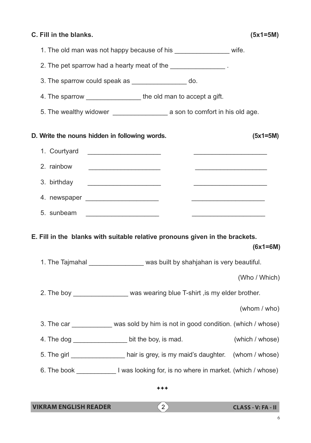| C. Fill in the blanks.                                                                                                                                                                                                                                                     | $(5x1=5M)$                                      |
|----------------------------------------------------------------------------------------------------------------------------------------------------------------------------------------------------------------------------------------------------------------------------|-------------------------------------------------|
| 1. The old man was not happy because of his _________________ wife.                                                                                                                                                                                                        |                                                 |
| 2. The pet sparrow had a hearty meat of the _______________.                                                                                                                                                                                                               |                                                 |
| 3. The sparrow could speak as ________________ do.                                                                                                                                                                                                                         |                                                 |
| 4. The sparrow ____________________ the old man to accept a gift.                                                                                                                                                                                                          |                                                 |
|                                                                                                                                                                                                                                                                            |                                                 |
| D. Write the nouns hidden in following words.                                                                                                                                                                                                                              | $(5x1=5M)$                                      |
| 1. Courtyard                                                                                                                                                                                                                                                               |                                                 |
| 2. rainbow<br><u> 1989 - Johann Harry Harry Harry Harry Harry Harry Harry Harry Harry Harry Harry Harry Harry Harry Harry Harry Harry Harry Harry Harry Harry Harry Harry Harry Harry Harry Harry Harry Harry Harry Harry Harry Harry Harry Ha</u>                         | <u> 1950 - Johann John Stone, mars et al. (</u> |
| 3. birthday                                                                                                                                                                                                                                                                |                                                 |
| <u> 1989 - Johann Stoff, amerikansk politiker (</u> † 1908)                                                                                                                                                                                                                |                                                 |
| 5. sunbeam _______________________<br><u> 1989 - Johann John Stein, mars et al. 1989 - John Stein, mars et al. 1989 - John Stein, mars et al. 1989 - John Stein Stein Stein Stein Stein Stein Stein Stein Stein Stein Stein Stein Stein Stein Stein Stein Stein Stein </u> |                                                 |
| E. Fill in the blanks with suitable relative pronouns given in the brackets.                                                                                                                                                                                               | $(6x1=6M)$                                      |
| 1. The Tajmahal ____________________ was built by shahjahan is very beautiful.                                                                                                                                                                                             |                                                 |
|                                                                                                                                                                                                                                                                            | (Who / Which)                                   |
| 2. The boy __________________ was wearing blue T-shirt, is my elder brother.                                                                                                                                                                                               |                                                 |
|                                                                                                                                                                                                                                                                            | (whom / who)                                    |
| 3. The car ___________ was sold by him is not in good condition. (which / whose)                                                                                                                                                                                           |                                                 |
| 4. The dog __________________ bit the boy, is mad.                                                                                                                                                                                                                         | (which / whose)                                 |
| 5. The girl _________________ hair is grey, is my maid's daughter. (whom / whose)                                                                                                                                                                                          |                                                 |
| 6. The book __________________I was looking for, is no where in market. (which / whose)                                                                                                                                                                                    |                                                 |
| ***                                                                                                                                                                                                                                                                        |                                                 |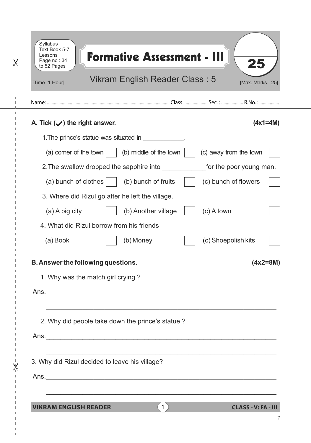| [Time :1 Hour]                           | Vikram English Reader Class: 5                                                                                                                                       | [Max. Marks: 25]        |
|------------------------------------------|----------------------------------------------------------------------------------------------------------------------------------------------------------------------|-------------------------|
|                                          |                                                                                                                                                                      |                         |
| A. Tick $(\checkmark)$ the right answer. |                                                                                                                                                                      | $(4x1=4M)$              |
|                                          | 1. The prince's statue was situated in ____________.                                                                                                                 |                         |
| (a) corner of the town                   | (b) middle of the town                                                                                                                                               | (c) away from the town  |
|                                          | 2. The swallow dropped the sapphire into                                                                                                                             | for the poor young man. |
|                                          | (a) bunch of clothes $\vert$<br>(b) bunch of fruits                                                                                                                  | (c) bunch of flowers    |
|                                          | 3. Where did Rizul go after he left the village.                                                                                                                     |                         |
| $(a)$ A big city                         | (b) Another village                                                                                                                                                  | $(c)$ A town            |
|                                          | 4. What did Rizul borrow from his friends                                                                                                                            |                         |
| (a) Book                                 | (b) Money                                                                                                                                                            | (c) Shoepolish kits     |
|                                          | B. Answer the following questions.                                                                                                                                   | $(4x2=8M)$              |
|                                          | 1. Why was the match girl crying?                                                                                                                                    |                         |
|                                          | Ans.                                                                                                                                                                 |                         |
|                                          | and the control of the control of the control of the control of the control of the control of the control of the<br>2. Why did people take down the prince's statue? |                         |
|                                          |                                                                                                                                                                      |                         |
|                                          | 3. Why did Rizul decided to leave his village?                                                                                                                       |                         |
|                                          |                                                                                                                                                                      |                         |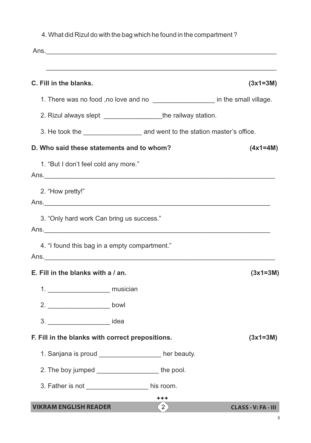| 4. What did Rizul do with the bag which he found in the compartment? |  |
|----------------------------------------------------------------------|--|
|                                                                      |  |

| ,我们也不能在这里的人,我们也不能在这里的人,我们也不能在这里的人,我们也不能在这里的人,我们也不能在这里的人,我们也不能在这里的人,我们也不能在这里的人,我们也<br>C. Fill in the blanks. |                   | $(3x1=3M)$                 |
|-------------------------------------------------------------------------------------------------------------|-------------------|----------------------------|
| 1. There was no food ,no love and no _____________________ in the small village.                            |                   |                            |
| 2. Rizul always slept ________________________the railway station.                                          |                   |                            |
|                                                                                                             |                   |                            |
| D. Who said these statements and to whom?                                                                   |                   | $(4x1=4M)$                 |
| 1. "But I don't feel cold any more."                                                                        |                   |                            |
| 2. "How pretty!"                                                                                            |                   |                            |
| 3. "Only hard work Can bring us success."                                                                   |                   |                            |
| 4. "I found this bag in a empty compartment."                                                               |                   |                            |
| E. Fill in the blanks with a / an.                                                                          |                   | $(3x1=3M)$                 |
| musician<br>1.                                                                                              |                   |                            |
|                                                                                                             |                   |                            |
| 3. _________________________ idea                                                                           |                   |                            |
| F. Fill in the blanks with correct prepositions.                                                            |                   | $(3x1=3M)$                 |
| 1. Sanjana is proud ___________________her beauty.                                                          |                   |                            |
| 2. The boy jumped ___________________________the pool.                                                      |                   |                            |
| 3. Father is not ____________________ his room.                                                             |                   |                            |
|                                                                                                             | ***               |                            |
| <b>VIKRAM ENGLISH READER</b>                                                                                | $\left( 2\right)$ | <b>CLASS - V: FA - III</b> |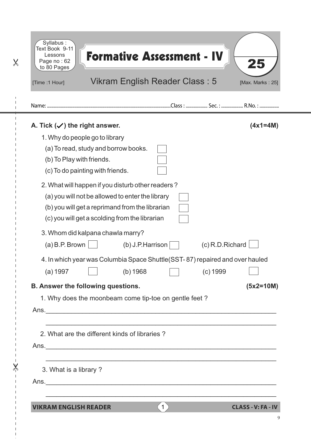| [Time :1 Hour]                                 | Vikram English Reader Class: 5                                                |                  | [Max. Marks: 25] |
|------------------------------------------------|-------------------------------------------------------------------------------|------------------|------------------|
|                                                |                                                                               |                  |                  |
| A. Tick $(\checkmark)$ the right answer.       |                                                                               |                  | $(4x1=4M)$       |
| 1. Why do people go to library                 |                                                                               |                  |                  |
| (a) To read, study and borrow books.           |                                                                               |                  |                  |
| (b) To Play with friends.                      |                                                                               |                  |                  |
| (c) To do painting with friends.               |                                                                               |                  |                  |
|                                                | 2. What will happen if you disturb other readers?                             |                  |                  |
|                                                | (a) you will not be allowed to enter the library                              |                  |                  |
| (c) you will get a scolding from the librarian | (b) you will get a reprimand from the librarian                               |                  |                  |
|                                                |                                                                               |                  |                  |
| 3. Whom did kalpana chawla marry?              |                                                                               |                  |                  |
| $(a)$ B.P. Brown                               | $(b)$ J.P. Harrison                                                           | (c) R.D. Richard |                  |
|                                                | 4. In which year was Columbia Space Shuttle (SST-87) repaired and over hauled |                  |                  |
| (a) 1997                                       | (b) 1968                                                                      | (c) 1999         |                  |
| <b>B. Answer the following questions.</b>      |                                                                               |                  | $(5x2=10M)$      |
|                                                | 1. Why does the moonbeam come tip-toe on gentle feet?                         |                  |                  |
|                                                |                                                                               |                  |                  |
|                                                |                                                                               |                  |                  |
| 2. What are the different kinds of libraries?  |                                                                               |                  |                  |
|                                                |                                                                               |                  |                  |
| 3. What is a library?                          |                                                                               |                  |                  |
|                                                |                                                                               |                  |                  |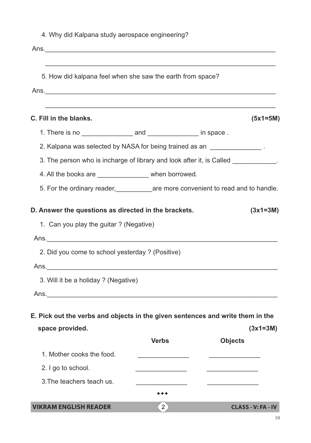| 4. Why did Kalpana study aerospace engineering?                                                                                   |                |                                                                                       |
|-----------------------------------------------------------------------------------------------------------------------------------|----------------|---------------------------------------------------------------------------------------|
|                                                                                                                                   |                |                                                                                       |
| 5. How did kalpana feel when she saw the earth from space?                                                                        |                |                                                                                       |
|                                                                                                                                   |                |                                                                                       |
|                                                                                                                                   |                |                                                                                       |
| C. Fill in the blanks.                                                                                                            |                | $(5x1=5M)$                                                                            |
|                                                                                                                                   |                |                                                                                       |
| 2. Kalpana was selected by NASA for being trained as an ______________.                                                           |                |                                                                                       |
|                                                                                                                                   |                | 3. The person who is incharge of library and look after it, is Called ___________.    |
| 4. All the books are ________________ when borrowed.                                                                              |                |                                                                                       |
|                                                                                                                                   |                | 5. For the ordinary reader, ______________ are more convenient to read and to handle. |
| 1. Can you play the guitar? (Negative)<br>2. Did you come to school yesterday? (Positive)<br>3. Will it be a holiday ? (Negative) |                |                                                                                       |
|                                                                                                                                   |                |                                                                                       |
| E. Pick out the verbs and objects in the given sentences and write them in the<br>space provided.                                 |                | $(3x1=3M)$                                                                            |
|                                                                                                                                   | <b>Verbs</b>   | <b>Objects</b>                                                                        |
| 1. Mother cooks the food.                                                                                                         |                |                                                                                       |
| 2. I go to school.                                                                                                                |                |                                                                                       |
| 3. The teachers teach us.                                                                                                         |                |                                                                                       |
|                                                                                                                                   | ***            |                                                                                       |
| <b>VIKRAM ENGLISH READER</b>                                                                                                      | 2 <sup>3</sup> | <b>CLASS - V: FA - IV</b>                                                             |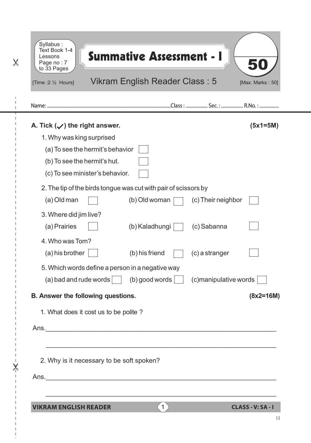| A. Tick $(\checkmark)$ the right answer.                        |                          |                        | $(5x1=5M)$  |
|-----------------------------------------------------------------|--------------------------|------------------------|-------------|
| 1. Why was king surprised                                       |                          |                        |             |
| (a) To see the hermit's behavior                                |                          |                        |             |
| (b) To see the hermit's hut.                                    |                          |                        |             |
| (c) To see minister's behavior.                                 |                          |                        |             |
| 2. The tip of the birds tongue was cut with pair of scissors by |                          |                        |             |
| (a) Old man                                                     | (b) Old woman            | (c) Their neighbor     |             |
| 3. Where did jim live?                                          |                          |                        |             |
| (a) Prairies                                                    | (b) Kaladhungi           | (c) Sabanna            |             |
| 4. Who was Tom?                                                 |                          |                        |             |
| (a) his brother                                                 | (b) his friend           | (c) a stranger         |             |
| 5. Which words define a person in a negative way                |                          |                        |             |
| $(a)$ bad and rude words $\vert$                                | $(b)$ good words $\vert$ | (c) manipulative words |             |
| B. Answer the following questions.                              |                          |                        | $(8x2=16M)$ |
| 1. What does it cost us to be polite?                           |                          |                        |             |
|                                                                 |                          |                        |             |
|                                                                 |                          |                        |             |
|                                                                 |                          |                        |             |
| 2. Why is it necessary to be soft spoken?                       |                          |                        |             |
|                                                                 |                          |                        |             |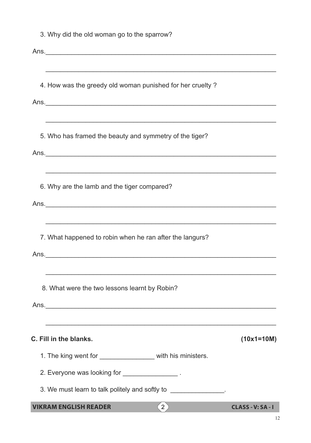| <b>VIKRAM ENGLISH READER</b>                                                                                         | (2) | CLASS - V: SA - I |
|----------------------------------------------------------------------------------------------------------------------|-----|-------------------|
| 3. We must learn to talk politely and softly to _______________.                                                     |     |                   |
| 2. Everyone was looking for _________________.                                                                       |     |                   |
| 1. The king went for __________________ with his ministers.                                                          |     |                   |
| C. Fill in the blanks.                                                                                               |     | $(10x1=10M)$      |
|                                                                                                                      |     |                   |
| 8. What were the two lessons learnt by Robin?                                                                        |     |                   |
|                                                                                                                      |     |                   |
| Ans.                                                                                                                 |     |                   |
| 7. What happened to robin when he ran after the langurs?                                                             |     |                   |
|                                                                                                                      |     |                   |
| 6. Why are the lamb and the tiger compared?                                                                          |     |                   |
|                                                                                                                      |     |                   |
|                                                                                                                      |     |                   |
| 5. Who has framed the beauty and symmetry of the tiger?                                                              |     |                   |
| and the control of the control of the control of the control of the control of the control of the control of the     |     |                   |
| 4. How was the greedy old woman punished for her cruelty?                                                            |     |                   |
| <u> 1989 - Johann Barbara, margaret amerikan basar dan berasal dalam berasal dalam basa dalam basa dalam berasal</u> |     |                   |
|                                                                                                                      |     |                   |
| 3. Why did the old woman go to the sparrow?                                                                          |     |                   |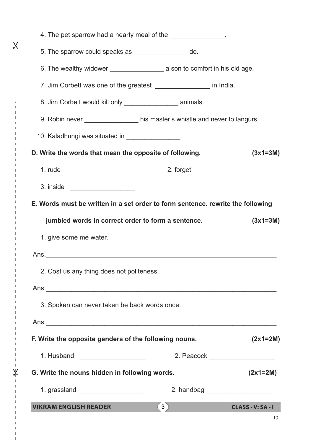| 4. The pet sparrow had a hearty meal of the ______________.                     |     |                          |
|---------------------------------------------------------------------------------|-----|--------------------------|
| 5. The sparrow could speaks as __________________ do.                           |     |                          |
|                                                                                 |     |                          |
| 7. Jim Corbett was one of the greatest __________________ in India.             |     |                          |
| 8. Jim Corbett would kill only _____________________ animals.                   |     |                          |
| 9. Robin never ________________ his master's whistle and never to langurs.      |     |                          |
| 10. Kaladhungi was situated in ________________.                                |     |                          |
| D. Write the words that mean the opposite of following.                         |     | $(3x1=3M)$               |
| 1. rude _____________________                                                   |     |                          |
|                                                                                 |     |                          |
| E. Words must be written in a set order to form sentence. rewrite the following |     |                          |
| jumbled words in correct order to form a sentence.                              |     | $(3x1=3M)$               |
| 1. give some me water.                                                          |     |                          |
|                                                                                 |     |                          |
| 2. Cost us any thing does not politeness.                                       |     |                          |
|                                                                                 |     |                          |
| 3. Spoken can never taken be back words once.                                   |     |                          |
|                                                                                 |     |                          |
| F. Write the opposite genders of the following nouns.                           |     | $(2x1=2M)$               |
| 1. Husband ____________________                                                 |     |                          |
| G. Write the nouns hidden in following words.                                   |     | $(2x1=2M)$               |
| 1. grassland _____________________                                              |     |                          |
| <b>VIKRAM ENGLISH READER</b>                                                    | (3) | <b>CLASS - V: SA - I</b> |

 $-\frac{1}{2}$ 

J.  $\overline{\phantom{a}}$  $\overline{1}$ 

 $\overline{\mathsf{X}}$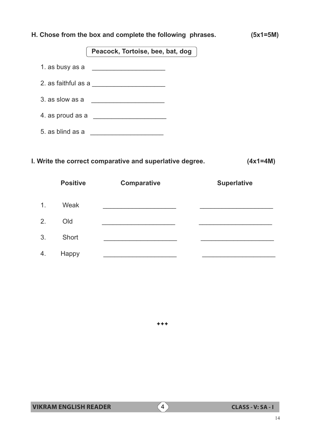## **H. Chose from the box and complete the following phrases. (5x1=5M)** 1. as busy as a <u>\_\_\_\_\_\_\_\_\_\_\_\_\_\_\_\_\_\_\_</u> 2. as faithful as a  $\overline{\phantom{a}}$ 3. as slow as a 4. as proud as a \_\_\_\_\_\_\_\_\_\_\_\_\_\_\_\_\_\_\_\_  **Peacock, Tortoise, bee, bat, dog**

5. as blind as a \_\_\_\_\_\_\_\_\_\_\_\_\_\_\_\_\_\_\_\_

### **I. Write the correct comparative and superlative degree. (4x1=4M)**

|                | <b>Positive</b> | <b>Comparative</b> | <b>Superlative</b> |
|----------------|-----------------|--------------------|--------------------|
| 1 <sub>1</sub> | Weak            |                    |                    |
| 2.             | Old             |                    |                    |
| 3.             | Short           |                    |                    |
| 4.             | Happy           |                    |                    |

 $***$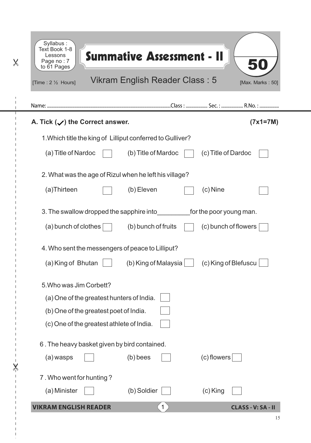| [Time : 2 1/2 Hours]                                                                                                                                        |                      | Vikram English Reader Class: 5 |                                                 | [Max. Marks: 50] |
|-------------------------------------------------------------------------------------------------------------------------------------------------------------|----------------------|--------------------------------|-------------------------------------------------|------------------|
|                                                                                                                                                             |                      |                                |                                                 |                  |
| A. Tick $(\checkmark)$ the Correct answer.                                                                                                                  |                      |                                |                                                 | $(7x1=7M)$       |
| 1. Which title the king of Lilliput conferred to Gulliver?                                                                                                  |                      |                                |                                                 |                  |
| (a) Title of Nardoc                                                                                                                                         | (b) Title of Mardoc  |                                | (c) Title of Dardoc                             |                  |
| 2. What was the age of Rizul when he left his village?                                                                                                      |                      |                                |                                                 |                  |
| (a)Thirteen                                                                                                                                                 | (b) Eleven           |                                | $(c)$ Nine                                      |                  |
| 3. The swallow dropped the sapphire into<br>$(a)$ bunch of clothes                                                                                          | (b) bunch of fruits  |                                | for the poor young man.<br>(c) bunch of flowers |                  |
| 4. Who sent the messengers of peace to Lilliput?                                                                                                            |                      |                                |                                                 |                  |
| (a) King of Bhutan                                                                                                                                          | (b) King of Malaysia |                                | (c) King of Blefuscu                            |                  |
| 5. Who was Jim Corbett?<br>(a) One of the greatest hunters of India.<br>(b) One of the greatest poet of India.<br>(c) One of the greatest athlete of India. |                      |                                |                                                 |                  |
| 6. The heavy basket given by bird contained.                                                                                                                |                      |                                |                                                 |                  |
| (a) wasps                                                                                                                                                   | $(b)$ bees           |                                | $(c)$ flowers                                   |                  |
| 7. Who went for hunting?                                                                                                                                    |                      |                                |                                                 |                  |
| (a) Minister                                                                                                                                                | (b) Soldier          |                                | $(c)$ King                                      |                  |

 $\overline{1}$  $\overline{\phantom{a}}$  $\mathbf{I}$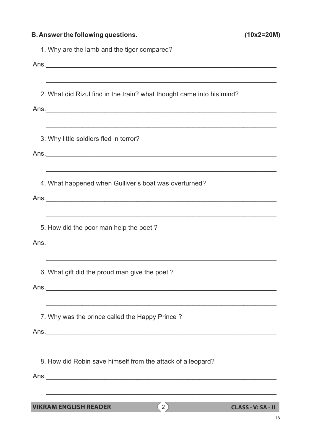| <b>B. Answer the following questions.</b>                                                                                           | $(10x2=20M)$              |
|-------------------------------------------------------------------------------------------------------------------------------------|---------------------------|
| 1. Why are the lamb and the tiger compared?                                                                                         |                           |
|                                                                                                                                     |                           |
| 2. What did Rizul find in the train? what thought came into his mind?                                                               |                           |
|                                                                                                                                     |                           |
| ,我们也不能在这里的时候,我们也不能在这里的时候,我们也不能不能不能不能不能不能不能不能不能不能不能。""我们的人们也不能不能不能不能不能不能不能不能不能不能不<br>3. Why little soldiers fled in terror?          |                           |
|                                                                                                                                     |                           |
| 4. What happened when Gulliver's boat was overturned?                                                                               |                           |
|                                                                                                                                     |                           |
| 5. How did the poor man help the poet?                                                                                              |                           |
|                                                                                                                                     |                           |
| 6. What gift did the proud man give the poet?                                                                                       |                           |
|                                                                                                                                     |                           |
| ,我们也不能在这里的人,我们也不能在这里的人,我们也不能在这里的人,我们也不能在这里的人,我们也不能在这里的人,我们也不能在这里的人,我们也不能在这里的人,我们也<br>7. Why was the prince called the Happy Prince? |                           |
|                                                                                                                                     |                           |
|                                                                                                                                     |                           |
| 8. How did Robin save himself from the attack of a leopard?                                                                         |                           |
| ,我们也不能在这里的人,我们也不能在这里的人,我们也不能在这里的人,我们也不能在这里的人,我们也不能在这里的人,我们也不能在这里的人,我们也不能在这里的人,我们也                                                   |                           |
| $\left( 2\right)$<br><b>VIKRAM ENGLISH READER</b>                                                                                   | <b>CLASS - V: SA - II</b> |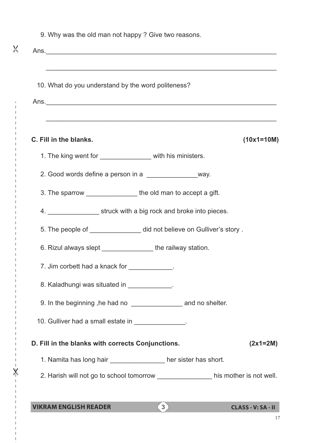| 9. Why was the old man not happy? Give two reasons.                                                                   |     |                           |
|-----------------------------------------------------------------------------------------------------------------------|-----|---------------------------|
| <u> 1989 - Johann Harry Harry Harry Harry Harry Harry Harry Harry Harry Harry Harry Harry Harry Harry Harry Harry</u> |     |                           |
| 10. What do you understand by the word politeness?                                                                    |     |                           |
|                                                                                                                       |     |                           |
|                                                                                                                       |     |                           |
| C. Fill in the blanks.                                                                                                |     | $(10x1=10M)$              |
| 1. The king went for ________________ with his ministers.                                                             |     |                           |
| 2. Good words define a person in a __________________way.                                                             |     |                           |
| 3. The sparrow _________________ the old man to accept a gift.                                                        |     |                           |
| 4. _____________________ struck with a big rock and broke into pieces.                                                |     |                           |
| 5. The people of _______________ did not believe on Gulliver's story.                                                 |     |                           |
| 6. Rizul always slept _______________the railway station.                                                             |     |                           |
| 7. Jim corbett had a knack for ____________.                                                                          |     |                           |
| 8. Kaladhungi was situated in ____________.                                                                           |     |                           |
| 9. In the beginning, he had no _______________________ and no shelter.                                                |     |                           |
| 10. Gulliver had a small estate in _______________.                                                                   |     |                           |
| D. Fill in the blanks with corrects Conjunctions.                                                                     |     | $(2x1=2M)$                |
| 1. Namita has long hair __________________ her sister has short.                                                      |     |                           |
| 2. Harish will not go to school tomorrow _________________his mother is not well.                                     |     |                           |
|                                                                                                                       |     |                           |
| <b>VIKRAM ENGLISH READER</b>                                                                                          | (3) | <b>CLASS - V: SA - II</b> |

 $-x^2$ 

"

17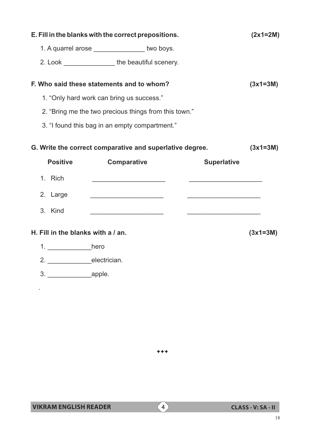|                                    | E. Fill in the blanks with the correct prepositions.     |                                                                                                                        | $(2x1=2M)$ |
|------------------------------------|----------------------------------------------------------|------------------------------------------------------------------------------------------------------------------------|------------|
|                                    | 1. A quarrel arose _______________ two boys.             |                                                                                                                        |            |
|                                    | 2. Look ____________________the beautiful scenery.       |                                                                                                                        |            |
|                                    | F. Who said these statements and to whom?                |                                                                                                                        | $(3x1=3M)$ |
|                                    | 1. "Only hard work can bring us success."                |                                                                                                                        |            |
|                                    | 2. "Bring me the two precious things from this town."    |                                                                                                                        |            |
|                                    | 3. "I found this bag in an empty compartment."           |                                                                                                                        |            |
|                                    | G. Write the correct comparative and superlative degree. |                                                                                                                        | $(3x1=3M)$ |
| <b>Positive</b>                    | <b>Comparative</b>                                       | <b>Superlative</b>                                                                                                     |            |
| 1. Rich                            |                                                          |                                                                                                                        |            |
| 2. Large                           | <u> 1989 - Johann Barbara, martin amerikan basar da</u>  | <u> 1989 - Johann John Stein, market fan it ferskearre fan it ferskearre fan it ferskearre fan it ferskearre fan i</u> |            |
| 3. Kind                            |                                                          |                                                                                                                        |            |
| H. Fill in the blanks with a / an. |                                                          |                                                                                                                        | $(3x1=3M)$ |
| 1. _______________hero             |                                                          |                                                                                                                        |            |
| 2. electrician.                    |                                                          |                                                                                                                        |            |
|                                    |                                                          |                                                                                                                        |            |
|                                    |                                                          |                                                                                                                        |            |

 $***$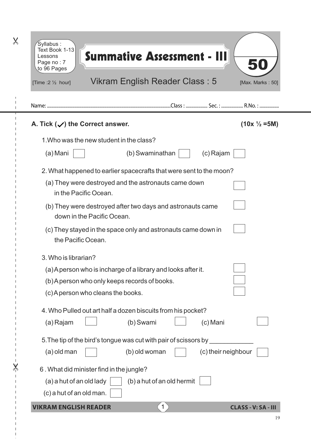| Syllabus:<br>Text Book 1-13<br>Lessons<br>Page no: 7<br>to 96 Pages<br>[Time :2 $\frac{1}{2}$ hour] | <b>Summative Assessment - III</b><br>Vikram English Reader Class: 5 | [Max. Marks: 50]           |
|-----------------------------------------------------------------------------------------------------|---------------------------------------------------------------------|----------------------------|
|                                                                                                     |                                                                     |                            |
| A. Tick $(\checkmark)$ the Correct answer.                                                          |                                                                     | $(10x \frac{1}{2} = 5M)$   |
| 1. Who was the new student in the class?                                                            |                                                                     |                            |
| (a) Mani                                                                                            | (b) Swaminathan                                                     | (c) Rajam                  |
|                                                                                                     | 2. What happened to earlier spacecrafts that were sent to the moon? |                            |
| in the Pacific Ocean.                                                                               | (a) They were destroyed and the astronauts came down                |                            |
| down in the Pacific Ocean.                                                                          | (b) They were destroyed after two days and astronauts came          |                            |
| the Pacific Ocean.                                                                                  | (c) They stayed in the space only and astronauts came down in       |                            |
| 3. Who is librarian?                                                                                |                                                                     |                            |
|                                                                                                     | (a) A person who is incharge of a library and looks after it.       |                            |
| (b) A person who only keeps records of books.                                                       |                                                                     |                            |
| (c) A person who cleans the books.                                                                  |                                                                     |                            |
|                                                                                                     | 4. Who Pulled out art half a dozen biscuits from his pocket?        |                            |
| (a) Rajam                                                                                           | (b) Swami                                                           | (c) Mani                   |
|                                                                                                     | 5. The tip of the bird's tongue was cut with pair of scissors by    |                            |
| (a) old man                                                                                         | (b) old woman                                                       | (c) their neighbour        |
| 6. What did minister find in the jungle?                                                            |                                                                     |                            |
| (a) a hut of an old lady                                                                            | (b) a hut of an old hermit                                          |                            |
| (c) a hut of an old man.                                                                            |                                                                     |                            |
| <b>VIKRAM ENGLISH READER</b>                                                                        | $\mathbf{1}$                                                        | <b>CLASS - V: SA - III</b> |

 $\overline{\mathsf{X}}$ 

I

 $\overline{\mathsf{X}}$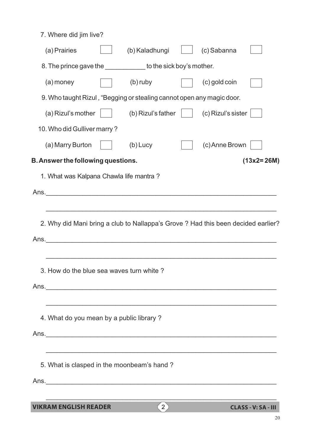| 3. How do the blue sea waves turn white?<br>4. What do you mean by a public library?<br>5. What is clasped in the moonbeam's hand? |                             |                                                                                      |                                 |                                                                                                                                                                                                        |
|------------------------------------------------------------------------------------------------------------------------------------|-----------------------------|--------------------------------------------------------------------------------------|---------------------------------|--------------------------------------------------------------------------------------------------------------------------------------------------------------------------------------------------------|
|                                                                                                                                    |                             |                                                                                      |                                 |                                                                                                                                                                                                        |
|                                                                                                                                    |                             |                                                                                      |                                 |                                                                                                                                                                                                        |
|                                                                                                                                    |                             |                                                                                      |                                 |                                                                                                                                                                                                        |
|                                                                                                                                    |                             |                                                                                      |                                 |                                                                                                                                                                                                        |
|                                                                                                                                    |                             |                                                                                      |                                 |                                                                                                                                                                                                        |
|                                                                                                                                    |                             |                                                                                      |                                 |                                                                                                                                                                                                        |
|                                                                                                                                    |                             |                                                                                      |                                 |                                                                                                                                                                                                        |
|                                                                                                                                    |                             |                                                                                      |                                 |                                                                                                                                                                                                        |
|                                                                                                                                    |                             |                                                                                      |                                 |                                                                                                                                                                                                        |
|                                                                                                                                    |                             |                                                                                      |                                 |                                                                                                                                                                                                        |
|                                                                                                                                    |                             |                                                                                      |                                 |                                                                                                                                                                                                        |
|                                                                                                                                    |                             |                                                                                      |                                 |                                                                                                                                                                                                        |
|                                                                                                                                    |                             |                                                                                      |                                 |                                                                                                                                                                                                        |
|                                                                                                                                    |                             |                                                                                      |                                 |                                                                                                                                                                                                        |
|                                                                                                                                    |                             |                                                                                      |                                 |                                                                                                                                                                                                        |
|                                                                                                                                    |                             |                                                                                      |                                 | $(13x2=26M)$                                                                                                                                                                                           |
| (a) Marry Burton                                                                                                                   | $(b)$ Lucy                  |                                                                                      | (c) Anne Brown                  |                                                                                                                                                                                                        |
|                                                                                                                                    |                             |                                                                                      |                                 |                                                                                                                                                                                                        |
| (a) Rizul's mother                                                                                                                 |                             |                                                                                      | (c) Rizul's sister              |                                                                                                                                                                                                        |
|                                                                                                                                    |                             |                                                                                      |                                 |                                                                                                                                                                                                        |
| (a) money                                                                                                                          | (b) ruby                    |                                                                                      | (c) gold coin                   |                                                                                                                                                                                                        |
|                                                                                                                                    |                             |                                                                                      |                                 |                                                                                                                                                                                                        |
| (a) Prairies                                                                                                                       | (b) Kaladhungi              |                                                                                      | (c) Sabanna                     |                                                                                                                                                                                                        |
| 7. Where did jim live?                                                                                                             |                             |                                                                                      |                                 |                                                                                                                                                                                                        |
|                                                                                                                                    | 10. Who did Gulliver marry? | <b>B. Answer the following questions.</b><br>1. What was Kalpana Chawla life mantra? | (b) Rizul's father<br>Ans. Ans. | 8. The prince gave the sick boy's mother.<br>9. Who taught Rizul, "Begging or stealing cannot open any magic door.<br>2. Why did Mani bring a club to Nallappa's Grove? Had this been decided earlier? |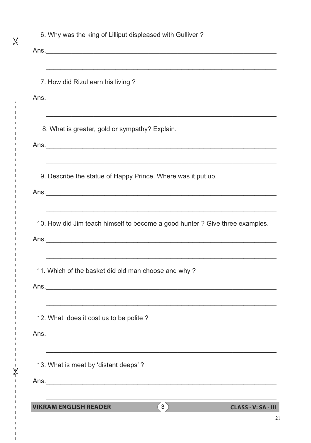| <b>VIKRAM ENGLISH READER</b>                                                                                     | 3 <sup>2</sup> | <b>CLASS - V: SA - III</b> |
|------------------------------------------------------------------------------------------------------------------|----------------|----------------------------|
|                                                                                                                  |                |                            |
| 13. What is meat by 'distant deeps'?                                                                             |                |                            |
|                                                                                                                  |                |                            |
|                                                                                                                  |                |                            |
| 12. What does it cost us to be polite?                                                                           |                |                            |
| and the control of the control of the control of the control of the control of the control of the control of the |                |                            |
| Ans.                                                                                                             |                |                            |
| 11. Which of the basket did old man choose and why?                                                              |                |                            |
|                                                                                                                  |                |                            |
| 10. How did Jim teach himself to become a good hunter? Give three examples.                                      |                |                            |
|                                                                                                                  |                |                            |
| 9. Describe the statue of Happy Prince. Where was it put up.                                                     |                |                            |
|                                                                                                                  |                |                            |
|                                                                                                                  |                |                            |
| 8. What is greater, gold or sympathy? Explain.                                                                   |                |                            |
|                                                                                                                  |                |                            |
| 7. How did Rizul earn his living?                                                                                |                |                            |
| ,我们也不能在这里的人,我们也不能在这里的人,我们也不能在这里的人,我们也不能在这里的人,我们也不能在这里的人,我们也不能在这里的人,我们也不能在这里的人,我们也                                |                |                            |
|                                                                                                                  |                |                            |
|                                                                                                                  |                |                            |

 $\overline{\mathsf{x}}$ 

 $\overline{\phantom{a}}$ 

 $-x^2$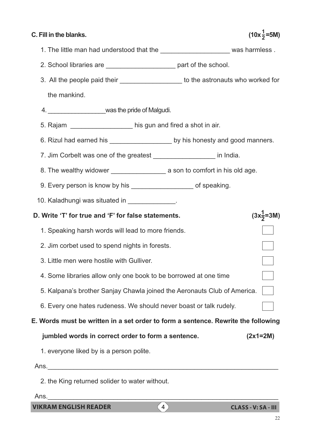#### **C. Fill in the blanks.**

#### **1 2**

- 1. The little man had understood that the **the contract of the set of the set of the set of the set of the set o**
- 2. School libraries are **Example 2.** School part of the school.
- 3. All the people paid their **the stronauts who worked for** to the astronauts who worked for the mankind.
- 4. \_\_\_\_\_\_\_\_\_\_\_\_\_\_\_\_\_was the pride of Malgudi.
- 5. Rajam \_\_\_\_\_\_\_\_\_\_\_\_\_\_\_\_\_ his gun and fired a shot in air.
- 6. Rizul had earned his \_\_\_\_\_\_\_\_\_\_\_\_\_\_\_\_\_\_\_\_\_\_ by his honesty and good manners.
- 7. Jim Corbelt was one of the greatest The control of the structure in India.
- 8. The wealthy widower \_\_\_\_\_\_\_\_\_\_\_\_\_\_\_ a son to comfort in his old age.
- 9. Every person is know by his example the set of speaking.
- 10. Kaladhungi was situated in \_\_\_\_\_\_\_\_\_\_\_\_\_.
- **1 D. Write 'T' for true and 'F' for false statements. 2** 1. Speaking harsh words will lead to more friends. 2. Jim corbet used to spend nights in forests. 3. Little men were hostile with Gulliver.  $\overline{\phantom{0}}$  4. Some libraries allow only one book to be borrowed at one time 5. Kalpana's brother Sanjay Chawla joined the Aeronauts Club of America.  $\mathcal{L}(\mathcal{A})$ 6. Every one hates rudeness. We should never boast or talk rudely.
- **E. Words must be written in a set order to form a sentence. Rewrite the following**
	- **jumbled words in correct order to form a sentence. (2x1=2M)**
	- 1. everyone liked by is a person polite.

Ans.

2. the King returned solider to water without.

 $Ans.$ 

**VIKRAM ENGLISH READER** 4 **CLASS - V: SA - III**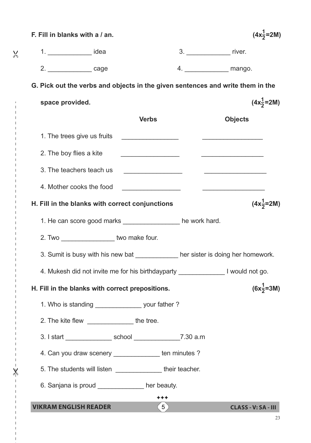| F. Fill in blanks with a / an.                   |                                               |                                                              |                                   | $(4x\frac{1}{2}=2M)$                                                             |
|--------------------------------------------------|-----------------------------------------------|--------------------------------------------------------------|-----------------------------------|----------------------------------------------------------------------------------|
| 1. ________________ idea                         |                                               |                                                              | 3. _______________________ river. |                                                                                  |
| 2. ___________________ cage                      |                                               |                                                              |                                   |                                                                                  |
|                                                  |                                               |                                                              |                                   | G. Pick out the verbs and objects in the given sentences and write them in the   |
| space provided.                                  |                                               |                                                              |                                   | $(4x\frac{1}{2} = 2M)$                                                           |
|                                                  |                                               | <b>Verbs</b>                                                 |                                   | <b>Objects</b>                                                                   |
| 1. The trees give us fruits                      |                                               |                                                              |                                   |                                                                                  |
| 2. The boy flies a kite                          |                                               |                                                              |                                   | <u> The Communication of the Communication of the Communication</u>              |
| 3. The teachers teach us                         |                                               |                                                              |                                   |                                                                                  |
| 4. Mother cooks the food                         |                                               | <u> 1989 - Johann Barbara, martin a</u>                      |                                   | <u> 1990 - Johann Stein, markinsk politik (</u>                                  |
| H. Fill in the blanks with correct conjunctions  |                                               |                                                              |                                   | $(4x\frac{1}{2} = 2M)$                                                           |
|                                                  |                                               | 1. He can score good marks _______________ he work hard.     |                                   |                                                                                  |
|                                                  | 2. Two ____________________ two make four.    |                                                              |                                   |                                                                                  |
|                                                  |                                               |                                                              |                                   | 3. Sumit is busy with his new bat ____________ her sister is doing her homework. |
|                                                  |                                               | 4. Mukesh did not invite me for his birthdayparty _          |                                   | I would not go.                                                                  |
| H. Fill in the blanks with correct prepositions. |                                               |                                                              |                                   | $(6x\frac{1}{2} = 3M)$                                                           |
|                                                  |                                               | 1. Who is standing _________________ your father?            |                                   |                                                                                  |
|                                                  | 2. The kite flew _________________ the tree.  |                                                              |                                   |                                                                                  |
|                                                  |                                               | 3. I start _________________ school ________________7.30 a.m |                                   |                                                                                  |
|                                                  |                                               | 4. Can you draw scenery _______________ ten minutes?         |                                   |                                                                                  |
|                                                  |                                               | 5. The students will listen ________________ their teacher.  |                                   |                                                                                  |
|                                                  | 6. Sanjana is proud _____________ her beauty. |                                                              |                                   |                                                                                  |
| <b>VIKRAM ENGLISH READER</b>                     |                                               | $***$<br>(5)                                                 |                                   | <b>CLASS - V: SA - III</b>                                                       |

 $-x^2$ 

 $\mathbb{I}$ 

 $\overline{1}$  $\frac{1}{2}$ 

"